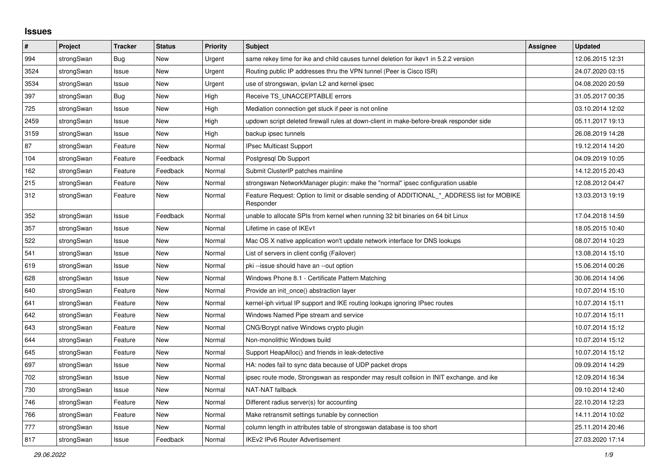## **Issues**

| #    | <b>Project</b> | <b>Tracker</b> | <b>Status</b> | <b>Priority</b> | <b>Subject</b>                                                                                           | Assignee | <b>Updated</b>   |
|------|----------------|----------------|---------------|-----------------|----------------------------------------------------------------------------------------------------------|----------|------------------|
| 994  | strongSwan     | Bug            | <b>New</b>    | Urgent          | same rekey time for ike and child causes tunnel deletion for ikev1 in 5.2.2 version                      |          | 12.06.2015 12:31 |
| 3524 | strongSwan     | Issue          | <b>New</b>    | Urgent          | Routing public IP addresses thru the VPN tunnel (Peer is Cisco ISR)                                      |          | 24.07.2020 03:15 |
| 3534 | strongSwan     | Issue          | <b>New</b>    | Urgent          | use of strongswan, ipvlan L2 and kernel ipsec                                                            |          | 04.08.2020 20:59 |
| 397  | strongSwan     | <b>Bug</b>     | <b>New</b>    | High            | Receive TS_UNACCEPTABLE errors                                                                           |          | 31.05.2017 00:35 |
| 725  | strongSwan     | Issue          | New           | High            | Mediation connection get stuck if peer is not online                                                     |          | 03.10.2014 12:02 |
| 2459 | strongSwan     | Issue          | <b>New</b>    | High            | updown script deleted firewall rules at down-client in make-before-break responder side                  |          | 05.11.2017 19:13 |
| 3159 | strongSwan     | Issue          | <b>New</b>    | High            | backup ipsec tunnels                                                                                     |          | 26.08.2019 14:28 |
| 87   | strongSwan     | Feature        | <b>New</b>    | Normal          | <b>IPsec Multicast Support</b>                                                                           |          | 19.12.2014 14:20 |
| 104  | strongSwan     | Feature        | Feedback      | Normal          | Postgresgl Db Support                                                                                    |          | 04.09.2019 10:05 |
| 162  | strongSwan     | Feature        | Feedback      | Normal          | Submit ClusterIP patches mainline                                                                        |          | 14.12.2015 20:43 |
| 215  | strongSwan     | Feature        | <b>New</b>    | Normal          | strongswan NetworkManager plugin: make the "normal" ipsec configuration usable                           |          | 12.08.2012 04:47 |
| 312  | strongSwan     | Feature        | <b>New</b>    | Normal          | Feature Request: Option to limit or disable sending of ADDITIONAL * ADDRESS list for MOBIKE<br>Responder |          | 13.03.2013 19:19 |
| 352  | strongSwan     | Issue          | Feedback      | Normal          | unable to allocate SPIs from kernel when running 32 bit binaries on 64 bit Linux                         |          | 17.04.2018 14:59 |
| 357  | strongSwan     | Issue          | <b>New</b>    | Normal          | Lifetime in case of IKEv1                                                                                |          | 18.05.2015 10:40 |
| 522  | strongSwan     | Issue          | <b>New</b>    | Normal          | Mac OS X native application won't update network interface for DNS lookups                               |          | 08.07.2014 10:23 |
| 541  | strongSwan     | Issue          | <b>New</b>    | Normal          | List of servers in client config (Failover)                                                              |          | 13.08.2014 15:10 |
| 619  | strongSwan     | Issue          | <b>New</b>    | Normal          | pki--issue should have an --out option                                                                   |          | 15.06.2014 00:26 |
| 628  | strongSwan     | Issue          | <b>New</b>    | Normal          | Windows Phone 8.1 - Certificate Pattern Matching                                                         |          | 30.06.2014 14:06 |
| 640  | strongSwan     | Feature        | New           | Normal          | Provide an init_once() abstraction layer                                                                 |          | 10.07.2014 15:10 |
| 641  | strongSwan     | Feature        | <b>New</b>    | Normal          | kernel-iph virtual IP support and IKE routing lookups ignoring IPsec routes                              |          | 10.07.2014 15:11 |
| 642  | strongSwan     | Feature        | <b>New</b>    | Normal          | Windows Named Pipe stream and service                                                                    |          | 10.07.2014 15:11 |
| 643  | strongSwan     | Feature        | New           | Normal          | CNG/Bcrypt native Windows crypto plugin                                                                  |          | 10.07.2014 15:12 |
| 644  | strongSwan     | Feature        | <b>New</b>    | Normal          | Non-monolithic Windows build                                                                             |          | 10.07.2014 15:12 |
| 645  | strongSwan     | Feature        | New           | Normal          | Support HeapAlloc() and friends in leak-detective                                                        |          | 10.07.2014 15:12 |
| 697  | strongSwan     | Issue          | New           | Normal          | HA: nodes fail to sync data because of UDP packet drops                                                  |          | 09.09.2014 14:29 |
| 702  | strongSwan     | Issue          | New           | Normal          | ipsec route mode, Strongswan as responder may result collsion in INIT exchange. and ike                  |          | 12.09.2014 16:34 |
| 730  | strongSwan     | Issue          | <b>New</b>    | Normal          | <b>NAT-NAT fallback</b>                                                                                  |          | 09.10.2014 12:40 |
| 746  | strongSwan     | Feature        | <b>New</b>    | Normal          | Different radius server(s) for accounting                                                                |          | 22.10.2014 12:23 |
| 766  | strongSwan     | Feature        | <b>New</b>    | Normal          | Make retransmit settings tunable by connection                                                           |          | 14.11.2014 10:02 |
| 777  | strongSwan     | Issue          | <b>New</b>    | Normal          | column length in attributes table of strongswan database is too short                                    |          | 25.11.2014 20:46 |
| 817  | strongSwan     | Issue          | Feedback      | Normal          | <b>IKEv2 IPv6 Router Advertisement</b>                                                                   |          | 27.03.2020 17:14 |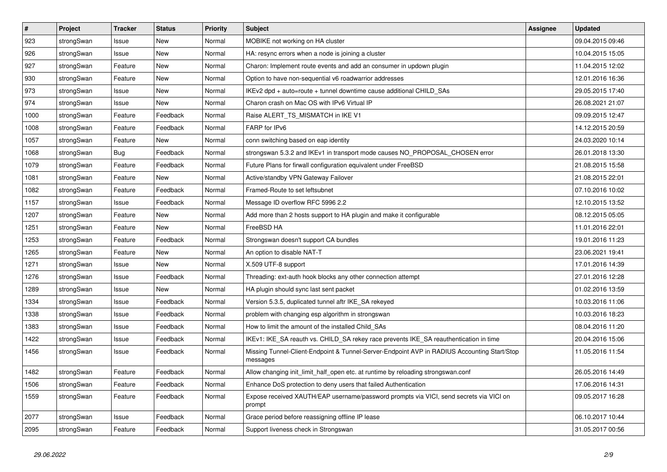| $\vert$ # | Project    | <b>Tracker</b> | <b>Status</b> | <b>Priority</b> | <b>Subject</b>                                                                                          | <b>Assignee</b> | <b>Updated</b>   |
|-----------|------------|----------------|---------------|-----------------|---------------------------------------------------------------------------------------------------------|-----------------|------------------|
| 923       | strongSwan | Issue          | <b>New</b>    | Normal          | MOBIKE not working on HA cluster                                                                        |                 | 09.04.2015 09:46 |
| 926       | strongSwan | Issue          | <b>New</b>    | Normal          | HA: resync errors when a node is joining a cluster                                                      |                 | 10.04.2015 15:05 |
| 927       | strongSwan | Feature        | New           | Normal          | Charon: Implement route events and add an consumer in updown plugin                                     |                 | 11.04.2015 12:02 |
| 930       | strongSwan | Feature        | New           | Normal          | Option to have non-sequential v6 roadwarrior addresses                                                  |                 | 12.01.2016 16:36 |
| 973       | strongSwan | Issue          | New           | Normal          | IKEv2 dpd + auto=route + tunnel downtime cause additional CHILD_SAs                                     |                 | 29.05.2015 17:40 |
| 974       | strongSwan | Issue          | <b>New</b>    | Normal          | Charon crash on Mac OS with IPv6 Virtual IP                                                             |                 | 26.08.2021 21:07 |
| 1000      | strongSwan | Feature        | Feedback      | Normal          | Raise ALERT TS MISMATCH in IKE V1                                                                       |                 | 09.09.2015 12:47 |
| 1008      | strongSwan | Feature        | Feedback      | Normal          | FARP for IPv6                                                                                           |                 | 14.12.2015 20:59 |
| 1057      | strongSwan | Feature        | New           | Normal          | conn switching based on eap identity                                                                    |                 | 24.03.2020 10:14 |
| 1068      | strongSwan | Bug            | Feedback      | Normal          | strongswan 5.3.2 and IKEv1 in transport mode causes NO_PROPOSAL_CHOSEN error                            |                 | 26.01.2018 13:30 |
| 1079      | strongSwan | Feature        | Feedback      | Normal          | Future Plans for firwall configuration equivalent under FreeBSD                                         |                 | 21.08.2015 15:58 |
| 1081      | strongSwan | Feature        | New           | Normal          | Active/standby VPN Gateway Failover                                                                     |                 | 21.08.2015 22:01 |
| 1082      | strongSwan | Feature        | Feedback      | Normal          | Framed-Route to set leftsubnet                                                                          |                 | 07.10.2016 10:02 |
| 1157      | strongSwan | Issue          | Feedback      | Normal          | Message ID overflow RFC 5996 2.2                                                                        |                 | 12.10.2015 13:52 |
| 1207      | strongSwan | Feature        | New           | Normal          | Add more than 2 hosts support to HA plugin and make it configurable                                     |                 | 08.12.2015 05:05 |
| 1251      | strongSwan | Feature        | New           | Normal          | FreeBSD HA                                                                                              |                 | 11.01.2016 22:01 |
| 1253      | strongSwan | Feature        | Feedback      | Normal          | Strongswan doesn't support CA bundles                                                                   |                 | 19.01.2016 11:23 |
| 1265      | strongSwan | Feature        | <b>New</b>    | Normal          | An option to disable NAT-T                                                                              |                 | 23.06.2021 19:41 |
| 1271      | strongSwan | Issue          | <b>New</b>    | Normal          | X.509 UTF-8 support                                                                                     |                 | 17.01.2016 14:39 |
| 1276      | strongSwan | Issue          | Feedback      | Normal          | Threading: ext-auth hook blocks any other connection attempt                                            |                 | 27.01.2016 12:28 |
| 1289      | strongSwan | Issue          | <b>New</b>    | Normal          | HA plugin should sync last sent packet                                                                  |                 | 01.02.2016 13:59 |
| 1334      | strongSwan | Issue          | Feedback      | Normal          | Version 5.3.5, duplicated tunnel aftr IKE_SA rekeyed                                                    |                 | 10.03.2016 11:06 |
| 1338      | strongSwan | Issue          | Feedback      | Normal          | problem with changing esp algorithm in strongswan                                                       |                 | 10.03.2016 18:23 |
| 1383      | strongSwan | Issue          | Feedback      | Normal          | How to limit the amount of the installed Child_SAs                                                      |                 | 08.04.2016 11:20 |
| 1422      | strongSwan | Issue          | Feedback      | Normal          | IKEv1: IKE_SA reauth vs. CHILD_SA rekey race prevents IKE_SA reauthentication in time                   |                 | 20.04.2016 15:06 |
| 1456      | strongSwan | Issue          | Feedback      | Normal          | Missing Tunnel-Client-Endpoint & Tunnel-Server-Endpoint AVP in RADIUS Accounting Start/Stop<br>messages |                 | 11.05.2016 11:54 |
| 1482      | strongSwan | Feature        | Feedback      | Normal          | Allow changing init_limit_half_open etc. at runtime by reloading strongswan.conf                        |                 | 26.05.2016 14:49 |
| 1506      | strongSwan | Feature        | Feedback      | Normal          | Enhance DoS protection to deny users that failed Authentication                                         |                 | 17.06.2016 14:31 |
| 1559      | strongSwan | Feature        | Feedback      | Normal          | Expose received XAUTH/EAP username/password prompts via VICI, send secrets via VICI on<br>prompt        |                 | 09.05.2017 16:28 |
| 2077      | strongSwan | Issue          | Feedback      | Normal          | Grace period before reassigning offline IP lease                                                        |                 | 06.10.2017 10:44 |
| 2095      | strongSwan | Feature        | Feedback      | Normal          | Support liveness check in Strongswan                                                                    |                 | 31.05.2017 00:56 |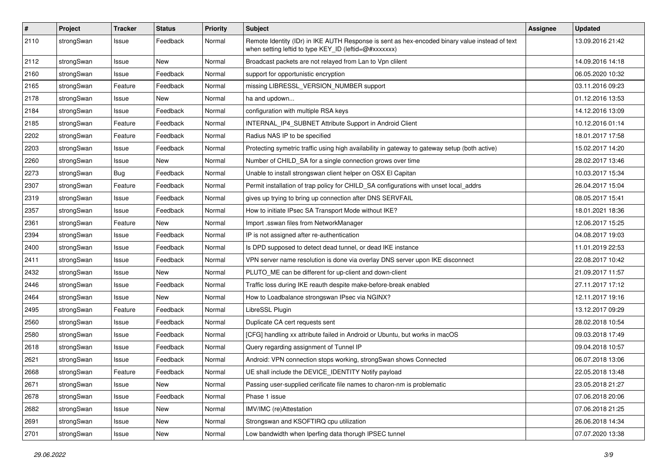| $\sharp$ | Project    | <b>Tracker</b> | <b>Status</b> | <b>Priority</b> | <b>Subject</b>                                                                                                                                          | <b>Assignee</b> | <b>Updated</b>   |
|----------|------------|----------------|---------------|-----------------|---------------------------------------------------------------------------------------------------------------------------------------------------------|-----------------|------------------|
| 2110     | strongSwan | Issue          | Feedback      | Normal          | Remote Identity (IDr) in IKE AUTH Response is sent as hex-encoded binary value instead of text<br>when setting leftid to type KEY_ID (leftid=@#xxxxxxx) |                 | 13.09.2016 21:42 |
| 2112     | strongSwan | Issue          | New           | Normal          | Broadcast packets are not relayed from Lan to Vpn clilent                                                                                               |                 | 14.09.2016 14:18 |
| 2160     | strongSwan | Issue          | Feedback      | Normal          | support for opportunistic encryption                                                                                                                    |                 | 06.05.2020 10:32 |
| 2165     | strongSwan | Feature        | Feedback      | Normal          | missing LIBRESSL_VERSION_NUMBER support                                                                                                                 |                 | 03.11.2016 09:23 |
| 2178     | strongSwan | Issue          | New           | Normal          | ha and updown                                                                                                                                           |                 | 01.12.2016 13:53 |
| 2184     | strongSwan | Issue          | Feedback      | Normal          | configuration with multiple RSA keys                                                                                                                    |                 | 14.12.2016 13:09 |
| 2185     | strongSwan | Feature        | Feedback      | Normal          | INTERNAL_IP4_SUBNET Attribute Support in Android Client                                                                                                 |                 | 10.12.2016 01:14 |
| 2202     | strongSwan | Feature        | Feedback      | Normal          | Radius NAS IP to be specified                                                                                                                           |                 | 18.01.2017 17:58 |
| 2203     | strongSwan | Issue          | Feedback      | Normal          | Protecting symetric traffic using high availability in gateway to gateway setup (both active)                                                           |                 | 15.02.2017 14:20 |
| 2260     | strongSwan | Issue          | New           | Normal          | Number of CHILD_SA for a single connection grows over time                                                                                              |                 | 28.02.2017 13:46 |
| 2273     | strongSwan | Bug            | Feedback      | Normal          | Unable to install strongswan client helper on OSX El Capitan                                                                                            |                 | 10.03.2017 15:34 |
| 2307     | strongSwan | Feature        | Feedback      | Normal          | Permit installation of trap policy for CHILD_SA configurations with unset local_addrs                                                                   |                 | 26.04.2017 15:04 |
| 2319     | strongSwan | Issue          | Feedback      | Normal          | gives up trying to bring up connection after DNS SERVFAIL                                                                                               |                 | 08.05.2017 15:41 |
| 2357     | strongSwan | Issue          | Feedback      | Normal          | How to initiate IPsec SA Transport Mode without IKE?                                                                                                    |                 | 18.01.2021 18:36 |
| 2361     | strongSwan | Feature        | New           | Normal          | Import .sswan files from NetworkManager                                                                                                                 |                 | 12.06.2017 15:25 |
| 2394     | strongSwan | Issue          | Feedback      | Normal          | IP is not assigned after re-authentication                                                                                                              |                 | 04.08.2017 19:03 |
| 2400     | strongSwan | Issue          | Feedback      | Normal          | Is DPD supposed to detect dead tunnel, or dead IKE instance                                                                                             |                 | 11.01.2019 22:53 |
| 2411     | strongSwan | Issue          | Feedback      | Normal          | VPN server name resolution is done via overlay DNS server upon IKE disconnect                                                                           |                 | 22.08.2017 10:42 |
| 2432     | strongSwan | Issue          | New           | Normal          | PLUTO_ME can be different for up-client and down-client                                                                                                 |                 | 21.09.2017 11:57 |
| 2446     | strongSwan | Issue          | Feedback      | Normal          | Traffic loss during IKE reauth despite make-before-break enabled                                                                                        |                 | 27.11.2017 17:12 |
| 2464     | strongSwan | Issue          | New           | Normal          | How to Loadbalance strongswan IPsec via NGINX?                                                                                                          |                 | 12.11.2017 19:16 |
| 2495     | strongSwan | Feature        | Feedback      | Normal          | LibreSSL Plugin                                                                                                                                         |                 | 13.12.2017 09:29 |
| 2560     | strongSwan | Issue          | Feedback      | Normal          | Duplicate CA cert requests sent                                                                                                                         |                 | 28.02.2018 10:54 |
| 2580     | strongSwan | Issue          | Feedback      | Normal          | [CFG] handling xx attribute failed in Android or Ubuntu, but works in macOS                                                                             |                 | 09.03.2018 17:49 |
| 2618     | strongSwan | Issue          | Feedback      | Normal          | Query regarding assignment of Tunnel IP                                                                                                                 |                 | 09.04.2018 10:57 |
| 2621     | strongSwan | Issue          | Feedback      | Normal          | Android: VPN connection stops working, strongSwan shows Connected                                                                                       |                 | 06.07.2018 13:06 |
| 2668     | strongSwan | Feature        | Feedback      | Normal          | UE shall include the DEVICE_IDENTITY Notify payload                                                                                                     |                 | 22.05.2018 13:48 |
| 2671     | strongSwan | Issue          | New           | Normal          | Passing user-supplied cerificate file names to charon-nm is problematic                                                                                 |                 | 23.05.2018 21:27 |
| 2678     | strongSwan | Issue          | Feedback      | Normal          | Phase 1 issue                                                                                                                                           |                 | 07.06.2018 20:06 |
| 2682     | strongSwan | Issue          | New           | Normal          | IMV/IMC (re)Attestation                                                                                                                                 |                 | 07.06.2018 21:25 |
| 2691     | strongSwan | Issue          | New           | Normal          | Strongswan and KSOFTIRQ cpu utilization                                                                                                                 |                 | 26.06.2018 14:34 |
| 2701     | strongSwan | Issue          | New           | Normal          | Low bandwidth when Iperfing data thorugh IPSEC tunnel                                                                                                   |                 | 07.07.2020 13:38 |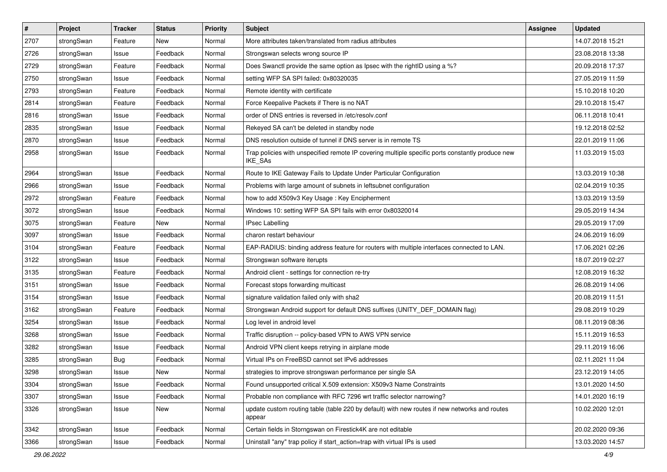| $\pmb{\#}$ | Project    | <b>Tracker</b> | <b>Status</b> | <b>Priority</b> | <b>Subject</b>                                                                                                     | <b>Assignee</b> | <b>Updated</b>   |
|------------|------------|----------------|---------------|-----------------|--------------------------------------------------------------------------------------------------------------------|-----------------|------------------|
| 2707       | strongSwan | Feature        | New           | Normal          | More attributes taken/translated from radius attributes                                                            |                 | 14.07.2018 15:21 |
| 2726       | strongSwan | Issue          | Feedback      | Normal          | Strongswan selects wrong source IP                                                                                 |                 | 23.08.2018 13:38 |
| 2729       | strongSwan | Feature        | Feedback      | Normal          | Does Swanctl provide the same option as Ipsec with the rightID using a %?                                          |                 | 20.09.2018 17:37 |
| 2750       | strongSwan | Issue          | Feedback      | Normal          | setting WFP SA SPI failed: 0x80320035                                                                              |                 | 27.05.2019 11:59 |
| 2793       | strongSwan | Feature        | Feedback      | Normal          | Remote identity with certificate                                                                                   |                 | 15.10.2018 10:20 |
| 2814       | strongSwan | Feature        | Feedback      | Normal          | Force Keepalive Packets if There is no NAT                                                                         |                 | 29.10.2018 15:47 |
| 2816       | strongSwan | Issue          | Feedback      | Normal          | order of DNS entries is reversed in /etc/resolv.conf                                                               |                 | 06.11.2018 10:41 |
| 2835       | strongSwan | Issue          | Feedback      | Normal          | Rekeyed SA can't be deleted in standby node                                                                        |                 | 19.12.2018 02:52 |
| 2870       | strongSwan | Issue          | Feedback      | Normal          | DNS resolution outside of tunnel if DNS server is in remote TS                                                     |                 | 22.01.2019 11:06 |
| 2958       | strongSwan | Issue          | Feedback      | Normal          | Trap policies with unspecified remote IP covering multiple specific ports constantly produce new<br><b>IKE SAs</b> |                 | 11.03.2019 15:03 |
| 2964       | strongSwan | Issue          | Feedback      | Normal          | Route to IKE Gateway Fails to Update Under Particular Configuration                                                |                 | 13.03.2019 10:38 |
| 2966       | strongSwan | Issue          | Feedback      | Normal          | Problems with large amount of subnets in leftsubnet configuration                                                  |                 | 02.04.2019 10:35 |
| 2972       | strongSwan | Feature        | Feedback      | Normal          | how to add X509v3 Key Usage: Key Encipherment                                                                      |                 | 13.03.2019 13:59 |
| 3072       | strongSwan | Issue          | Feedback      | Normal          | Windows 10: setting WFP SA SPI fails with error 0x80320014                                                         |                 | 29.05.2019 14:34 |
| 3075       | strongSwan | Feature        | New           | Normal          | <b>IPsec Labelling</b>                                                                                             |                 | 29.05.2019 17:09 |
| 3097       | strongSwan | Issue          | Feedback      | Normal          | charon restart behaviour                                                                                           |                 | 24.06.2019 16:09 |
| 3104       | strongSwan | Feature        | Feedback      | Normal          | EAP-RADIUS: binding address feature for routers with multiple interfaces connected to LAN.                         |                 | 17.06.2021 02:26 |
| 3122       | strongSwan | Issue          | Feedback      | Normal          | Strongswan software iterupts                                                                                       |                 | 18.07.2019 02:27 |
| 3135       | strongSwan | Feature        | Feedback      | Normal          | Android client - settings for connection re-try                                                                    |                 | 12.08.2019 16:32 |
| 3151       | strongSwan | Issue          | Feedback      | Normal          | Forecast stops forwarding multicast                                                                                |                 | 26.08.2019 14:06 |
| 3154       | strongSwan | Issue          | Feedback      | Normal          | signature validation failed only with sha2                                                                         |                 | 20.08.2019 11:51 |
| 3162       | strongSwan | Feature        | Feedback      | Normal          | Strongswan Android support for default DNS suffixes (UNITY_DEF_DOMAIN flag)                                        |                 | 29.08.2019 10:29 |
| 3254       | strongSwan | Issue          | Feedback      | Normal          | Log level in android level                                                                                         |                 | 08.11.2019 08:36 |
| 3268       | strongSwan | Issue          | Feedback      | Normal          | Traffic disruption -- policy-based VPN to AWS VPN service                                                          |                 | 15.11.2019 16:53 |
| 3282       | strongSwan | Issue          | Feedback      | Normal          | Android VPN client keeps retrying in airplane mode                                                                 |                 | 29.11.2019 16:06 |
| 3285       | strongSwan | <b>Bug</b>     | Feedback      | Normal          | Virtual IPs on FreeBSD cannot set IPv6 addresses                                                                   |                 | 02.11.2021 11:04 |
| 3298       | strongSwan | Issue          | New           | Normal          | strategies to improve strongswan performance per single SA                                                         |                 | 23.12.2019 14:05 |
| 3304       | strongSwan | Issue          | Feedback      | Normal          | Found unsupported critical X.509 extension: X509v3 Name Constraints                                                |                 | 13.01.2020 14:50 |
| 3307       | strongSwan | Issue          | Feedback      | Normal          | Probable non compliance with RFC 7296 wrt traffic selector narrowing?                                              |                 | 14.01.2020 16:19 |
| 3326       | strongSwan | Issue          | New           | Normal          | update custom routing table (table 220 by default) with new routes if new networks and routes<br>appear            |                 | 10.02.2020 12:01 |
| 3342       | strongSwan | Issue          | Feedback      | Normal          | Certain fields in Storngswan on Firestick4K are not editable                                                       |                 | 20.02.2020 09:36 |
| 3366       | strongSwan | Issue          | Feedback      | Normal          | Uninstall "any" trap policy if start_action=trap with virtual IPs is used                                          |                 | 13.03.2020 14:57 |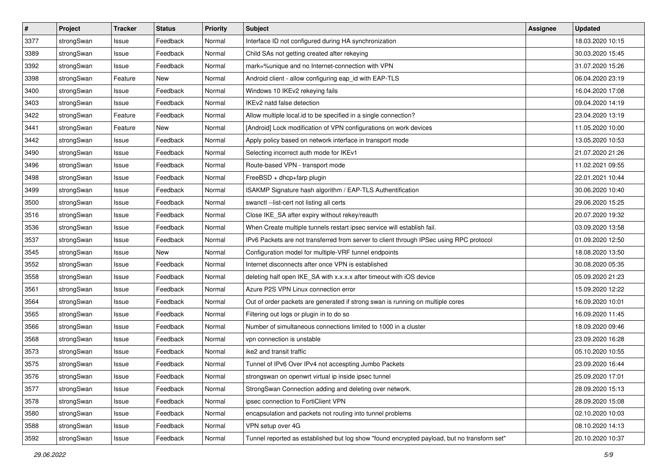| $\pmb{\#}$ | Project    | <b>Tracker</b> | <b>Status</b> | <b>Priority</b> | <b>Subject</b>                                                                              | Assignee | <b>Updated</b>   |
|------------|------------|----------------|---------------|-----------------|---------------------------------------------------------------------------------------------|----------|------------------|
| 3377       | strongSwan | Issue          | Feedback      | Normal          | Interface ID not configured during HA synchronization                                       |          | 18.03.2020 10:15 |
| 3389       | strongSwan | Issue          | Feedback      | Normal          | Child SAs not getting created after rekeying                                                |          | 30.03.2020 15:45 |
| 3392       | strongSwan | Issue          | Feedback      | Normal          | mark=%unique and no Internet-connection with VPN                                            |          | 31.07.2020 15:26 |
| 3398       | strongSwan | Feature        | New           | Normal          | Android client - allow configuring eap_id with EAP-TLS                                      |          | 06.04.2020 23:19 |
| 3400       | strongSwan | Issue          | Feedback      | Normal          | Windows 10 IKEv2 rekeying fails                                                             |          | 16.04.2020 17:08 |
| 3403       | strongSwan | Issue          | Feedback      | Normal          | IKEv2 natd false detection                                                                  |          | 09.04.2020 14:19 |
| 3422       | strongSwan | Feature        | Feedback      | Normal          | Allow multiple local.id to be specified in a single connection?                             |          | 23.04.2020 13:19 |
| 3441       | strongSwan | Feature        | New           | Normal          | [Android] Lock modification of VPN configurations on work devices                           |          | 11.05.2020 10:00 |
| 3442       | strongSwan | Issue          | Feedback      | Normal          | Apply policy based on network interface in transport mode                                   |          | 13.05.2020 10:53 |
| 3490       | strongSwan | Issue          | Feedback      | Normal          | Selecting incorrect auth mode for IKEv1                                                     |          | 21.07.2020 21:26 |
| 3496       | strongSwan | Issue          | Feedback      | Normal          | Route-based VPN - transport mode                                                            |          | 11.02.2021 09:55 |
| 3498       | strongSwan | Issue          | Feedback      | Normal          | FreeBSD + dhcp+farp plugin                                                                  |          | 22.01.2021 10:44 |
| 3499       | strongSwan | Issue          | Feedback      | Normal          | ISAKMP Signature hash algorithm / EAP-TLS Authentification                                  |          | 30.06.2020 10:40 |
| 3500       | strongSwan | Issue          | Feedback      | Normal          | swanctl --list-cert not listing all certs                                                   |          | 29.06.2020 15:25 |
| 3516       | strongSwan | Issue          | Feedback      | Normal          | Close IKE_SA after expiry without rekey/reauth                                              |          | 20.07.2020 19:32 |
| 3536       | strongSwan | Issue          | Feedback      | Normal          | When Create multiple tunnels restart ipsec service will establish fail.                     |          | 03.09.2020 13:58 |
| 3537       | strongSwan | Issue          | Feedback      | Normal          | IPv6 Packets are not transferred from server to client through IPSec using RPC protocol     |          | 01.09.2020 12:50 |
| 3545       | strongSwan | Issue          | <b>New</b>    | Normal          | Configuration model for multiple-VRF tunnel endpoints                                       |          | 18.08.2020 13:50 |
| 3552       | strongSwan | Issue          | Feedback      | Normal          | Internet disconnects after once VPN is established                                          |          | 30.08.2020 05:35 |
| 3558       | strongSwan | Issue          | Feedback      | Normal          | deleting half open IKE_SA with x.x.x.x after timeout with iOS device                        |          | 05.09.2020 21:23 |
| 3561       | strongSwan | Issue          | Feedback      | Normal          | Azure P2S VPN Linux connection error                                                        |          | 15.09.2020 12:22 |
| 3564       | strongSwan | Issue          | Feedback      | Normal          | Out of order packets are generated if strong swan is running on multiple cores              |          | 16.09.2020 10:01 |
| 3565       | strongSwan | Issue          | Feedback      | Normal          | Filtering out logs or plugin in to do so                                                    |          | 16.09.2020 11:45 |
| 3566       | strongSwan | Issue          | Feedback      | Normal          | Number of simultaneous connections limited to 1000 in a cluster                             |          | 18.09.2020 09:46 |
| 3568       | strongSwan | Issue          | Feedback      | Normal          | vpn connection is unstable                                                                  |          | 23.09.2020 16:28 |
| 3573       | strongSwan | Issue          | Feedback      | Normal          | ike2 and transit traffic                                                                    |          | 05.10.2020 10:55 |
| 3575       | strongSwan | Issue          | Feedback      | Normal          | Tunnel of IPv6 Over IPv4 not accespting Jumbo Packets                                       |          | 23.09.2020 16:44 |
| 3576       | strongSwan | Issue          | Feedback      | Normal          | strongswan on openwrt virtual ip inside ipsec tunnel                                        |          | 25.09.2020 17:01 |
| 3577       | strongSwan | Issue          | Feedback      | Normal          | StrongSwan Connection adding and deleting over network.                                     |          | 28.09.2020 15:13 |
| 3578       | strongSwan | Issue          | Feedback      | Normal          | ipsec connection to FortiClient VPN                                                         |          | 28.09.2020 15:08 |
| 3580       | strongSwan | Issue          | Feedback      | Normal          | encapsulation and packets not routing into tunnel problems                                  |          | 02.10.2020 10:03 |
| 3588       | strongSwan | Issue          | Feedback      | Normal          | VPN setup over 4G                                                                           |          | 08.10.2020 14:13 |
| 3592       | strongSwan | Issue          | Feedback      | Normal          | Tunnel reported as established but log show "found encrypted payload, but no transform set" |          | 20.10.2020 10:37 |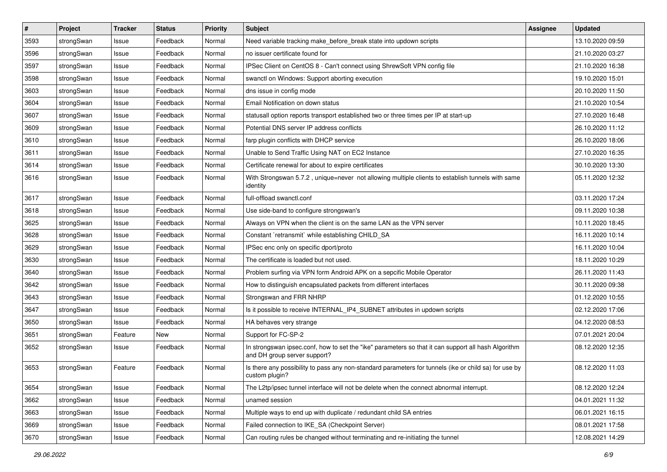| $\pmb{\#}$ | Project    | <b>Tracker</b> | <b>Status</b> | <b>Priority</b> | <b>Subject</b>                                                                                                                      | Assignee | <b>Updated</b>   |
|------------|------------|----------------|---------------|-----------------|-------------------------------------------------------------------------------------------------------------------------------------|----------|------------------|
| 3593       | strongSwan | Issue          | Feedback      | Normal          | Need variable tracking make_before_break state into updown scripts                                                                  |          | 13.10.2020 09:59 |
| 3596       | strongSwan | Issue          | Feedback      | Normal          | no issuer certificate found for                                                                                                     |          | 21.10.2020 03:27 |
| 3597       | strongSwan | Issue          | Feedback      | Normal          | IPSec Client on CentOS 8 - Can't connect using ShrewSoft VPN config file                                                            |          | 21.10.2020 16:38 |
| 3598       | strongSwan | lssue          | Feedback      | Normal          | swanctl on Windows: Support aborting execution                                                                                      |          | 19.10.2020 15:01 |
| 3603       | strongSwan | Issue          | Feedback      | Normal          | dns issue in config mode                                                                                                            |          | 20.10.2020 11:50 |
| 3604       | strongSwan | Issue          | Feedback      | Normal          | Email Notification on down status                                                                                                   |          | 21.10.2020 10:54 |
| 3607       | strongSwan | lssue          | Feedback      | Normal          | statusall option reports transport established two or three times per IP at start-up                                                |          | 27.10.2020 16:48 |
| 3609       | strongSwan | Issue          | Feedback      | Normal          | Potential DNS server IP address conflicts                                                                                           |          | 26.10.2020 11:12 |
| 3610       | strongSwan | Issue          | Feedback      | Normal          | farp plugin conflicts with DHCP service                                                                                             |          | 26.10.2020 18:06 |
| 3611       | strongSwan | Issue          | Feedback      | Normal          | Unable to Send Traffic Using NAT on EC2 Instance                                                                                    |          | 27.10.2020 16:35 |
| 3614       | strongSwan | Issue          | Feedback      | Normal          | Certificate renewal for about to expire certificates                                                                                |          | 30.10.2020 13:30 |
| 3616       | strongSwan | Issue          | Feedback      | Normal          | With Strongswan 5.7.2, unique=never not allowing multiple clients to establish tunnels with same<br>identity                        |          | 05.11.2020 12:32 |
| 3617       | strongSwan | Issue          | Feedback      | Normal          | full-offload swanctl.conf                                                                                                           |          | 03.11.2020 17:24 |
| 3618       | strongSwan | Issue          | Feedback      | Normal          | Use side-band to configure strongswan's                                                                                             |          | 09.11.2020 10:38 |
| 3625       | strongSwan | Issue          | Feedback      | Normal          | Always on VPN when the client is on the same LAN as the VPN server                                                                  |          | 10.11.2020 18:45 |
| 3628       | strongSwan | Issue          | Feedback      | Normal          | Constant `retransmit` while establishing CHILD_SA                                                                                   |          | 16.11.2020 10:14 |
| 3629       | strongSwan | Issue          | Feedback      | Normal          | IPSec enc only on specific dport/proto                                                                                              |          | 16.11.2020 10:04 |
| 3630       | strongSwan | Issue          | Feedback      | Normal          | The certificate is loaded but not used.                                                                                             |          | 18.11.2020 10:29 |
| 3640       | strongSwan | Issue          | Feedback      | Normal          | Problem surfing via VPN form Android APK on a sepcific Mobile Operator                                                              |          | 26.11.2020 11:43 |
| 3642       | strongSwan | Issue          | Feedback      | Normal          | How to distinguish encapsulated packets from different interfaces                                                                   |          | 30.11.2020 09:38 |
| 3643       | strongSwan | lssue          | Feedback      | Normal          | Strongswan and FRR NHRP                                                                                                             |          | 01.12.2020 10:55 |
| 3647       | strongSwan | Issue          | Feedback      | Normal          | Is it possible to receive INTERNAL_IP4_SUBNET attributes in updown scripts                                                          |          | 02.12.2020 17:06 |
| 3650       | strongSwan | Issue          | Feedback      | Normal          | HA behaves very strange                                                                                                             |          | 04.12.2020 08:53 |
| 3651       | strongSwan | Feature        | New           | Normal          | Support for FC-SP-2                                                                                                                 |          | 07.01.2021 20:04 |
| 3652       | strongSwan | Issue          | Feedback      | Normal          | In strongswan ipsec.conf, how to set the "ike" parameters so that it can support all hash Algorithm<br>and DH group server support? |          | 08.12.2020 12:35 |
| 3653       | strongSwan | Feature        | Feedback      | Normal          | Is there any possibility to pass any non-standard parameters for tunnels (ike or child sa) for use by<br>custom plugin?             |          | 08.12.2020 11:03 |
| 3654       | strongSwan | Issue          | Feedback      | Normal          | The L2tp/ipsec tunnel interface will not be delete when the connect abnormal interrupt.                                             |          | 08.12.2020 12:24 |
| 3662       | strongSwan | Issue          | Feedback      | Normal          | unamed session                                                                                                                      |          | 04.01.2021 11:32 |
| 3663       | strongSwan | Issue          | Feedback      | Normal          | Multiple ways to end up with duplicate / redundant child SA entries                                                                 |          | 06.01.2021 16:15 |
| 3669       | strongSwan | Issue          | Feedback      | Normal          | Failed connection to IKE SA (Checkpoint Server)                                                                                     |          | 08.01.2021 17:58 |
| 3670       | strongSwan | Issue          | Feedback      | Normal          | Can routing rules be changed without terminating and re-initiating the tunnel                                                       |          | 12.08.2021 14:29 |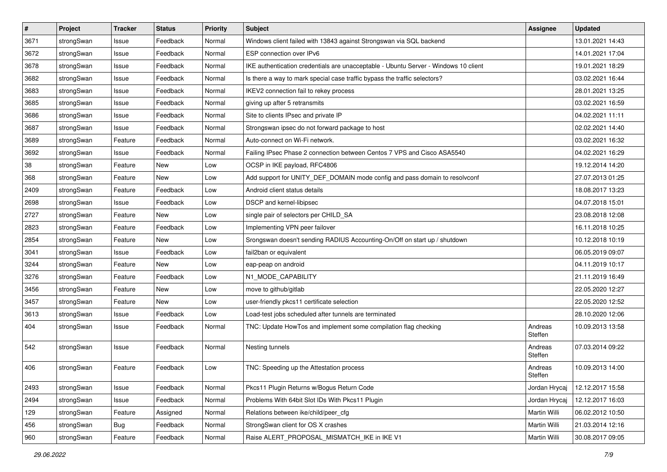| $\sharp$ | Project    | <b>Tracker</b> | <b>Status</b> | <b>Priority</b> | <b>Subject</b>                                                                      | <b>Assignee</b>    | <b>Updated</b>   |
|----------|------------|----------------|---------------|-----------------|-------------------------------------------------------------------------------------|--------------------|------------------|
| 3671     | strongSwan | Issue          | Feedback      | Normal          | Windows client failed with 13843 against Strongswan via SQL backend                 |                    | 13.01.2021 14:43 |
| 3672     | strongSwan | Issue          | Feedback      | Normal          | ESP connection over IPv6                                                            |                    | 14.01.2021 17:04 |
| 3678     | strongSwan | Issue          | Feedback      | Normal          | IKE authentication credentials are unacceptable - Ubuntu Server - Windows 10 client |                    | 19.01.2021 18:29 |
| 3682     | strongSwan | Issue          | Feedback      | Normal          | Is there a way to mark special case traffic bypass the traffic selectors?           |                    | 03.02.2021 16:44 |
| 3683     | strongSwan | Issue          | Feedback      | Normal          | IKEV2 connection fail to rekey process                                              |                    | 28.01.2021 13:25 |
| 3685     | strongSwan | Issue          | Feedback      | Normal          | giving up after 5 retransmits                                                       |                    | 03.02.2021 16:59 |
| 3686     | strongSwan | Issue          | Feedback      | Normal          | Site to clients IPsec and private IP                                                |                    | 04.02.2021 11:11 |
| 3687     | strongSwan | Issue          | Feedback      | Normal          | Strongswan ipsec do not forward package to host                                     |                    | 02.02.2021 14:40 |
| 3689     | strongSwan | Feature        | Feedback      | Normal          | Auto-connect on Wi-Fi network.                                                      |                    | 03.02.2021 16:32 |
| 3692     | strongSwan | Issue          | Feedback      | Normal          | Failing IPsec Phase 2 connection between Centos 7 VPS and Cisco ASA5540             |                    | 04.02.2021 16:29 |
| 38       | strongSwan | Feature        | New           | Low             | OCSP in IKE payload, RFC4806                                                        |                    | 19.12.2014 14:20 |
| 368      | strongSwan | Feature        | New           | Low             | Add support for UNITY_DEF_DOMAIN mode config and pass domain to resolvconf          |                    | 27.07.2013 01:25 |
| 2409     | strongSwan | Feature        | Feedback      | Low             | Android client status details                                                       |                    | 18.08.2017 13:23 |
| 2698     | strongSwan | Issue          | Feedback      | Low             | DSCP and kernel-libipsec                                                            |                    | 04.07.2018 15:01 |
| 2727     | strongSwan | Feature        | New           | Low             | single pair of selectors per CHILD_SA                                               |                    | 23.08.2018 12:08 |
| 2823     | strongSwan | Feature        | Feedback      | Low             | Implementing VPN peer failover                                                      |                    | 16.11.2018 10:25 |
| 2854     | strongSwan | Feature        | New           | Low             | Srongswan doesn't sending RADIUS Accounting-On/Off on start up / shutdown           |                    | 10.12.2018 10:19 |
| 3041     | strongSwan | Issue          | Feedback      | Low             | fail2ban or equivalent                                                              |                    | 06.05.2019 09:07 |
| 3244     | strongSwan | Feature        | New           | Low             | eap-peap on android                                                                 |                    | 04.11.2019 10:17 |
| 3276     | strongSwan | Feature        | Feedback      | Low             | N1_MODE_CAPABILITY                                                                  |                    | 21.11.2019 16:49 |
| 3456     | strongSwan | Feature        | New           | Low             | move to github/gitlab                                                               |                    | 22.05.2020 12:27 |
| 3457     | strongSwan | Feature        | <b>New</b>    | Low             | user-friendly pkcs11 certificate selection                                          |                    | 22.05.2020 12:52 |
| 3613     | strongSwan | Issue          | Feedback      | Low             | Load-test jobs scheduled after tunnels are terminated                               |                    | 28.10.2020 12:06 |
| 404      | strongSwan | Issue          | Feedback      | Normal          | TNC: Update HowTos and implement some compilation flag checking                     | Andreas<br>Steffen | 10.09.2013 13:58 |
| 542      | strongSwan | Issue          | Feedback      | Normal          | Nesting tunnels                                                                     | Andreas<br>Steffen | 07.03.2014 09:22 |
| 406      | strongSwan | Feature        | Feedback      | Low             | TNC: Speeding up the Attestation process                                            | Andreas<br>Steffen | 10.09.2013 14:00 |
| 2493     | strongSwan | Issue          | Feedback      | Normal          | Pkcs11 Plugin Returns w/Bogus Return Code                                           | Jordan Hrycaj      | 12.12.2017 15:58 |
| 2494     | strongSwan | Issue          | Feedback      | Normal          | Problems With 64bit Slot IDs With Pkcs11 Plugin                                     | Jordan Hrycaj      | 12.12.2017 16:03 |
| 129      | strongSwan | Feature        | Assigned      | Normal          | Relations between ike/child/peer_cfg                                                | Martin Willi       | 06.02.2012 10:50 |
| 456      | strongSwan | Bug            | Feedback      | Normal          | StrongSwan client for OS X crashes                                                  | Martin Willi       | 21.03.2014 12:16 |
| 960      | strongSwan | Feature        | Feedback      | Normal          | Raise ALERT_PROPOSAL_MISMATCH_IKE in IKE V1                                         | Martin Willi       | 30.08.2017 09:05 |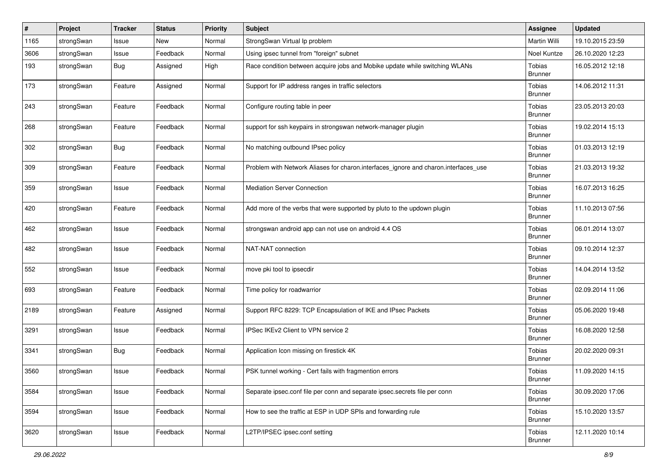| #    | Project    | <b>Tracker</b> | <b>Status</b> | <b>Priority</b> | <b>Subject</b>                                                                      | <b>Assignee</b>                 | <b>Updated</b>   |
|------|------------|----------------|---------------|-----------------|-------------------------------------------------------------------------------------|---------------------------------|------------------|
| 1165 | strongSwan | Issue          | New           | Normal          | StrongSwan Virtual Ip problem                                                       | Martin Willi                    | 19.10.2015 23:59 |
| 3606 | strongSwan | Issue          | Feedback      | Normal          | Using ipsec tunnel from "foreign" subnet                                            | Noel Kuntze                     | 26.10.2020 12:23 |
| 193  | strongSwan | <b>Bug</b>     | Assigned      | High            | Race condition between acquire jobs and Mobike update while switching WLANs         | Tobias<br><b>Brunner</b>        | 16.05.2012 12:18 |
| 173  | strongSwan | Feature        | Assigned      | Normal          | Support for IP address ranges in traffic selectors                                  | <b>Tobias</b><br><b>Brunner</b> | 14.06.2012 11:31 |
| 243  | strongSwan | Feature        | Feedback      | Normal          | Configure routing table in peer                                                     | Tobias<br><b>Brunner</b>        | 23.05.2013 20:03 |
| 268  | strongSwan | Feature        | Feedback      | Normal          | support for ssh keypairs in strongswan network-manager plugin                       | Tobias<br><b>Brunner</b>        | 19.02.2014 15:13 |
| 302  | strongSwan | <b>Bug</b>     | Feedback      | Normal          | No matching outbound IPsec policy                                                   | Tobias<br><b>Brunner</b>        | 01.03.2013 12:19 |
| 309  | strongSwan | Feature        | Feedback      | Normal          | Problem with Network Aliases for charon.interfaces_ignore and charon.interfaces_use | <b>Tobias</b><br>Brunner        | 21.03.2013 19:32 |
| 359  | strongSwan | Issue          | Feedback      | Normal          | <b>Mediation Server Connection</b>                                                  | Tobias<br><b>Brunner</b>        | 16.07.2013 16:25 |
| 420  | strongSwan | Feature        | Feedback      | Normal          | Add more of the verbs that were supported by pluto to the updown plugin             | Tobias<br><b>Brunner</b>        | 11.10.2013 07:56 |
| 462  | strongSwan | Issue          | Feedback      | Normal          | strongswan android app can not use on android 4.4 OS                                | Tobias<br>Brunner               | 06.01.2014 13:07 |
| 482  | strongSwan | Issue          | Feedback      | Normal          | NAT-NAT connection                                                                  | Tobias<br><b>Brunner</b>        | 09.10.2014 12:37 |
| 552  | strongSwan | Issue          | Feedback      | Normal          | move pki tool to ipsecdir                                                           | Tobias<br><b>Brunner</b>        | 14.04.2014 13:52 |
| 693  | strongSwan | Feature        | Feedback      | Normal          | Time policy for roadwarrior                                                         | Tobias<br><b>Brunner</b>        | 02.09.2014 11:06 |
| 2189 | strongSwan | Feature        | Assigned      | Normal          | Support RFC 8229: TCP Encapsulation of IKE and IPsec Packets                        | Tobias<br>Brunner               | 05.06.2020 19:48 |
| 3291 | strongSwan | Issue          | Feedback      | Normal          | IPSec IKEv2 Client to VPN service 2                                                 | Tobias<br><b>Brunner</b>        | 16.08.2020 12:58 |
| 3341 | strongSwan | Bug            | Feedback      | Normal          | Application Icon missing on firestick 4K                                            | Tobias<br><b>Brunner</b>        | 20.02.2020 09:31 |
| 3560 | strongSwan | Issue          | Feedback      | Normal          | PSK tunnel working - Cert fails with fragmention errors                             | Tobias<br><b>Brunner</b>        | 11.09.2020 14:15 |
| 3584 | strongSwan | Issue          | Feedback      | Normal          | Separate ipsec.conf file per conn and separate ipsec.secrets file per conn          | Tobias<br><b>Brunner</b>        | 30.09.2020 17:06 |
| 3594 | strongSwan | Issue          | Feedback      | Normal          | How to see the traffic at ESP in UDP SPIs and forwarding rule                       | Tobias<br><b>Brunner</b>        | 15.10.2020 13:57 |
| 3620 | strongSwan | Issue          | Feedback      | Normal          | L2TP/IPSEC ipsec.conf setting                                                       | Tobias<br><b>Brunner</b>        | 12.11.2020 10:14 |